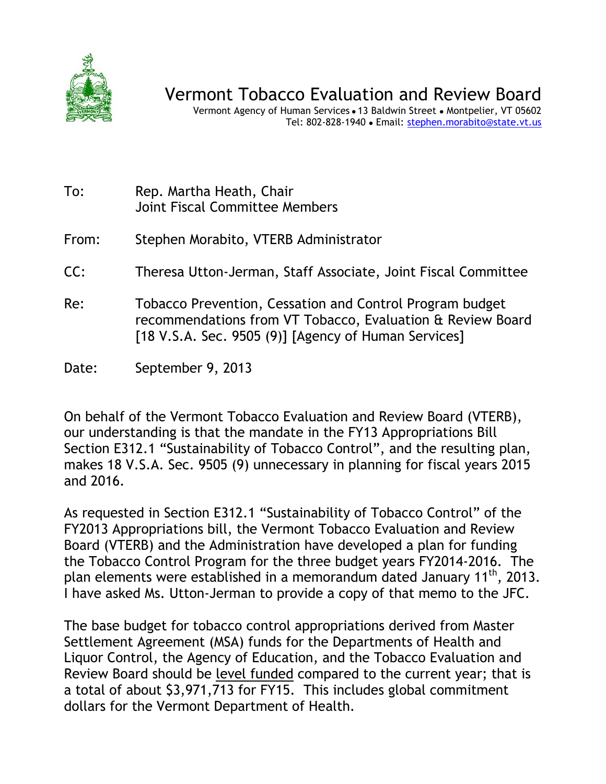

Vermont Agency of Human Services . 13 Baldwin Street . Montpelier, VT 05602 Tel: 802-828-1940 Email: stephen.morabito@state.vt.us

- To: Rep. Martha Heath, Chair Joint Fiscal Committee Members
- From: Stephen Morabito, VTERB Administrator
- CC: Theresa Utton-Jerman, Staff Associate, Joint Fiscal Committee
- Re: Tobacco Prevention, Cessation and Control Program budget recommendations from VT Tobacco, Evaluation & Review Board [18 V.S.A. Sec. 9505 (9)] [Agency of Human Services]
- Date: September 9, 2013

On behalf of the Vermont Tobacco Evaluation and Review Board (VTERB), our understanding is that the mandate in the FY13 Appropriations Bill Section E312.1 "Sustainability of Tobacco Control", and the resulting plan, makes 18 V.S.A. Sec. 9505 (9) unnecessary in planning for fiscal years 2015 and 2016.

As requested in Section E312.1 "Sustainability of Tobacco Control" of the FY2013 Appropriations bill, the Vermont Tobacco Evaluation and Review Board (VTERB) and the Administration have developed a plan for funding the Tobacco Control Program for the three budget years FY2014-2016. The plan elements were established in a memorandum dated January 11<sup>th</sup>, 2013. I have asked Ms. Utton-Jerman to provide a copy of that memo to the JFC.

The base budget for tobacco control appropriations derived from Master Settlement Agreement (MSA) funds for the Departments of Health and Liquor Control, the Agency of Education, and the Tobacco Evaluation and Review Board should be level funded compared to the current year; that is a total of about \$3,971,713 for FY15. This includes global commitment dollars for the Vermont Department of Health.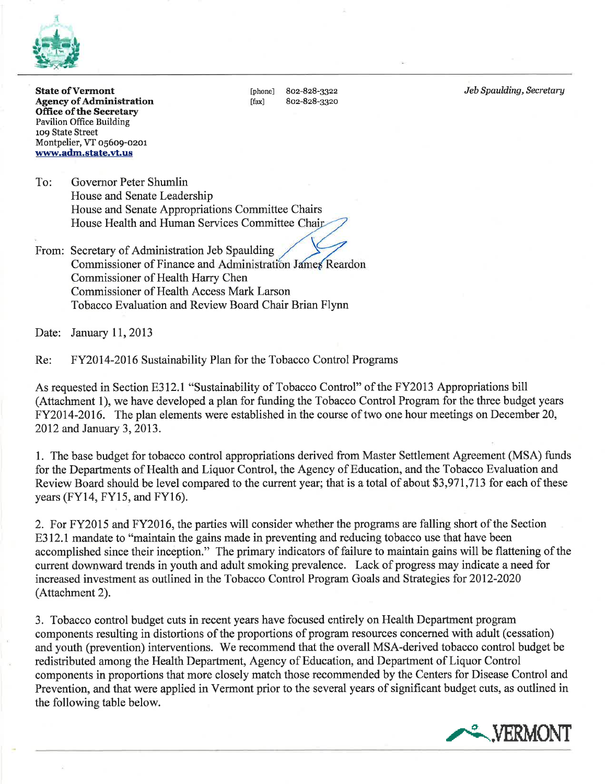

**State of Vermont Agency of Administration Office of the Secretary Pavilion Office Building** 109 State Street Montpelier, VT 05609-0201 www.adm.state.vt.us

[phone] 802-828-3322 802-828-3320 [fax]

Jeb Spaulding, Secretary

To: Governor Peter Shumlin House and Senate Leadership House and Senate Appropriations Committee Chairs House Health and Human Services Committee Chair

From: Secretary of Administration Jeb Spaulding Commissioner of Finance and Administration James Reardon Commissioner of Health Harry Chen **Commissioner of Health Access Mark Larson** Tobacco Evaluation and Review Board Chair Brian Flynn

Date: January 11, 2013

Re: FY2014-2016 Sustainability Plan for the Tobacco Control Programs

As requested in Section E312.1 "Sustainability of Tobacco Control" of the FY2013 Appropriations bill (Attachment 1), we have developed a plan for funding the Tobacco Control Program for the three budget years FY2014-2016. The plan elements were established in the course of two one hour meetings on December 20, 2012 and January 3, 2013.

1. The base budget for tobacco control appropriations derived from Master Settlement Agreement (MSA) funds for the Departments of Health and Liquor Control, the Agency of Education, and the Tobacco Evaluation and Review Board should be level compared to the current year; that is a total of about \$3,971,713 for each of these years (FY14, FY15, and FY16).

2. For FY2015 and FY2016, the parties will consider whether the programs are falling short of the Section E312.1 mandate to "maintain the gains made in preventing and reducing tobacco use that have been accomplished since their inception." The primary indicators of failure to maintain gains will be flattening of the current downward trends in youth and adult smoking prevalence. Lack of progress may indicate a need for increased investment as outlined in the Tobacco Control Program Goals and Strategies for 2012-2020 (Attachment 2).

3. Tobacco control budget cuts in recent years have focused entirely on Health Department program components resulting in distortions of the proportions of program resources concerned with adult (cessation) and youth (prevention) interventions. We recommend that the overall MSA-derived tobacco control budget be redistributed among the Health Department, Agency of Education, and Department of Liquor Control components in proportions that more closely match those recommended by the Centers for Disease Control and Prevention, and that were applied in Vermont prior to the several years of significant budget cuts, as outlined in the following table below.

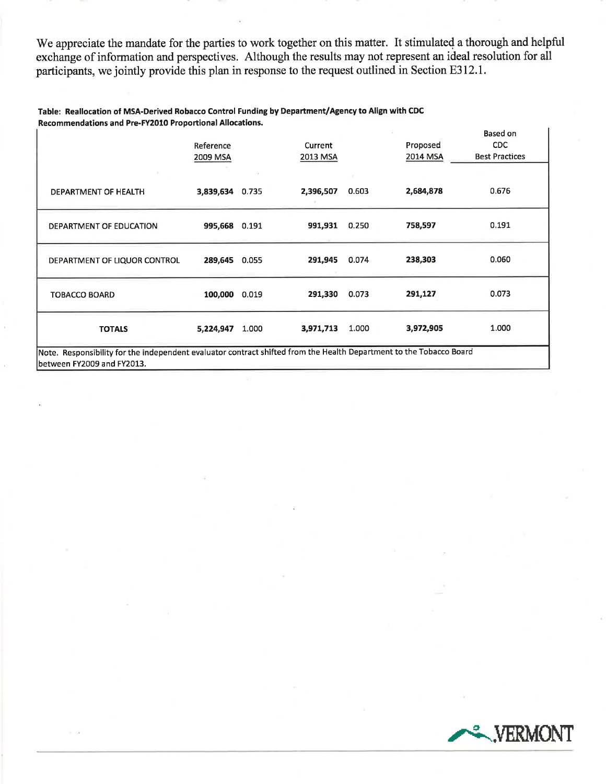We appreciate the mandate for the parties to work together on this matter. It stimulated a thorough and helpful exchange of information and perspectives. Although the results may not represent an ideal resolution for all participants, we jointly provide this plan in response to the request outlined in Section E312.1.

#### Table: Reallocation of MSA-Derived Robacco Control Funding by Department/Agency to Align with CDC Recommendations and Pre-FY2010 Proportional Allocations.

|                                                                                                                     |                 |       |           |       |           | Based on              |
|---------------------------------------------------------------------------------------------------------------------|-----------------|-------|-----------|-------|-----------|-----------------------|
|                                                                                                                     | Reference       |       | Current   |       | Proposed  | <b>CDC</b>            |
|                                                                                                                     | 2009 MSA        |       | 2013 MSA  |       | 2014 MSA  | <b>Best Practices</b> |
|                                                                                                                     |                 |       |           |       |           |                       |
|                                                                                                                     |                 | ٠     |           |       |           |                       |
| DEPARTMENT OF HEALTH                                                                                                | 3,839,634 0.735 |       | 2,396,507 | 0.603 | 2,684,878 | 0.676                 |
|                                                                                                                     |                 |       |           |       |           |                       |
|                                                                                                                     |                 |       |           |       |           |                       |
| DEPARTMENT OF EDUCATION                                                                                             | 995,668 0.191   |       | 991,931   | 0.250 | 758,597   | 0.191                 |
|                                                                                                                     |                 |       |           |       |           |                       |
|                                                                                                                     |                 |       |           |       |           |                       |
| DEPARTMENT OF LIQUOR CONTROL                                                                                        | 289,645 0.055   |       | 291,945   | 0.074 | 238,303   | 0.060                 |
|                                                                                                                     |                 |       |           |       |           |                       |
|                                                                                                                     |                 |       |           |       |           |                       |
| <b>TOBACCO BOARD</b>                                                                                                | 100,000         | 0.019 | 291,330   | 0.073 | 291,127   | 0.073                 |
|                                                                                                                     |                 |       |           |       |           |                       |
|                                                                                                                     |                 |       |           |       |           |                       |
| <b>TOTALS</b>                                                                                                       | 5,224,947       | 1,000 | 3,971,713 | 1.000 | 3,972,905 | 1.000                 |
|                                                                                                                     |                 |       |           |       |           |                       |
| Note. Responsibility for the independent evaluator contract shifted from the Health Department to the Tobacco Board |                 |       |           |       |           |                       |
| lbetween FY2009 and FY2013.                                                                                         |                 |       |           |       |           |                       |

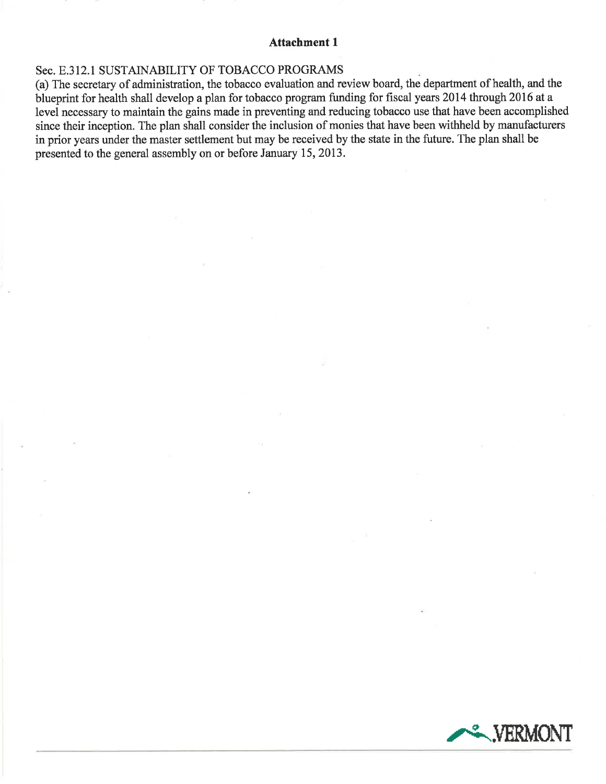### **Attachment 1**

## Sec. E.312.1 SUSTAINABILITY OF TOBACCO PROGRAMS

(a) The secretary of administration, the tobacco evaluation and review board, the department of health, and the blueprint for health shall develop a plan for tobacco program funding for fiscal years 2014 through 2016 at a level necessary to maintain the gains made in preventing and reducing tobacco use that have been accomplished since their inception. The plan shall consider the inclusion of monies that have been withheld by manufacturers in prior years under the master settlement but may be received by the state in the future. The plan shall be presented to the general assembly on or before January 15, 2013.